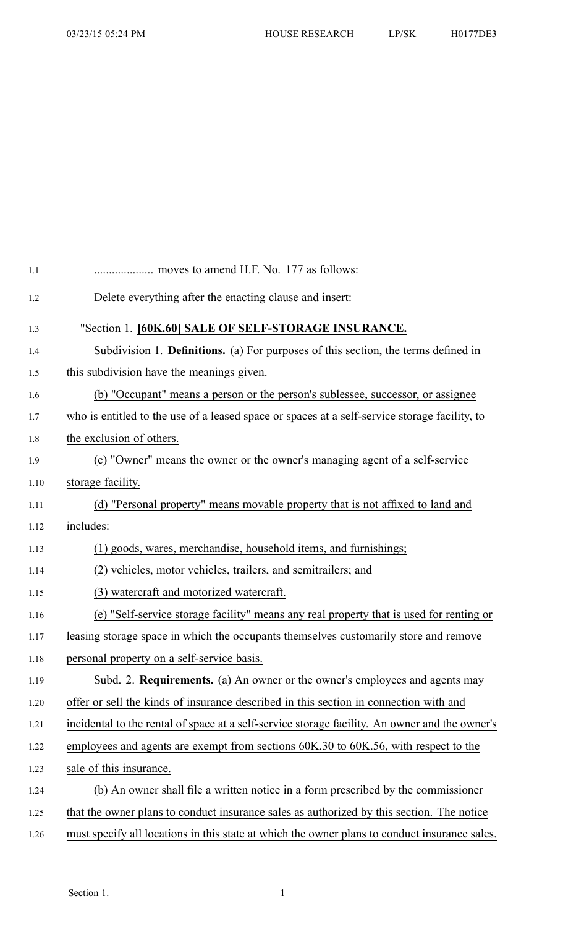| 1.1  |                                                                                                |
|------|------------------------------------------------------------------------------------------------|
| 1.2  | Delete everything after the enacting clause and insert:                                        |
| 1.3  | "Section 1. [60K.60] SALE OF SELF-STORAGE INSURANCE.                                           |
| 1.4  | Subdivision 1. Definitions. (a) For purposes of this section, the terms defined in             |
| 1.5  | this subdivision have the meanings given.                                                      |
| 1.6  | (b) "Occupant" means a person or the person's sublessee, successor, or assignee                |
| 1.7  | who is entitled to the use of a leased space or spaces at a self-service storage facility, to  |
| 1.8  | the exclusion of others.                                                                       |
| 1.9  | (c) "Owner" means the owner or the owner's managing agent of a self-service                    |
| 1.10 | storage facility.                                                                              |
| 1.11 | (d) "Personal property" means movable property that is not affixed to land and                 |
| 1.12 | includes:                                                                                      |
| 1.13 | (1) goods, wares, merchandise, household items, and furnishings;                               |
| 1.14 | (2) vehicles, motor vehicles, trailers, and semitrailers; and                                  |
| 1.15 | (3) watercraft and motorized watercraft.                                                       |
| 1.16 | (e) "Self-service storage facility" means any real property that is used for renting or        |
| 1.17 | leasing storage space in which the occupants themselves customarily store and remove           |
| 1.18 | personal property on a self-service basis.                                                     |
| 1.19 | Subd. 2. Requirements. (a) An owner or the owner's employees and agents may                    |
| 1.20 | offer or sell the kinds of insurance described in this section in connection with and          |
| 1.21 | incidental to the rental of space at a self-service storage facility. An owner and the owner's |
| 1.22 | employees and agents are exempt from sections 60K.30 to 60K.56, with respect to the            |
| 1.23 | sale of this insurance.                                                                        |
| 1.24 | (b) An owner shall file a written notice in a form prescribed by the commissioner              |
| 1.25 | that the owner plans to conduct insurance sales as authorized by this section. The notice      |
| 1.26 | must specify all locations in this state at which the owner plans to conduct insurance sales.  |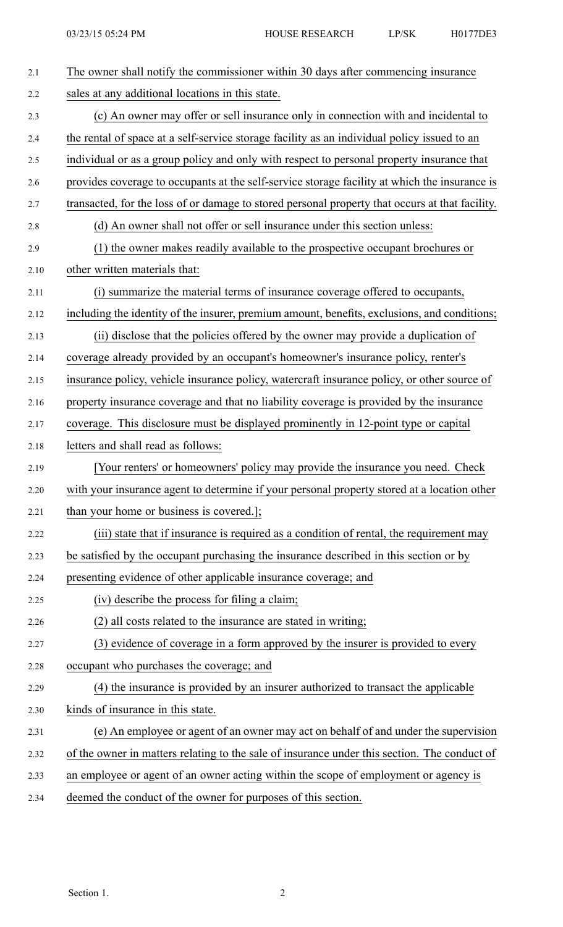| 2.1  | The owner shall notify the commissioner within 30 days after commencing insurance               |
|------|-------------------------------------------------------------------------------------------------|
| 2.2  | sales at any additional locations in this state.                                                |
| 2.3  | (c) An owner may offer or sell insurance only in connection with and incidental to              |
| 2.4  | the rental of space at a self-service storage facility as an individual policy issued to an     |
| 2.5  | individual or as a group policy and only with respect to personal property insurance that       |
| 2.6  | provides coverage to occupants at the self-service storage facility at which the insurance is   |
| 2.7  | transacted, for the loss of or damage to stored personal property that occurs at that facility. |
| 2.8  | (d) An owner shall not offer or sell insurance under this section unless:                       |
| 2.9  | (1) the owner makes readily available to the prospective occupant brochures or                  |
| 2.10 | other written materials that:                                                                   |
| 2.11 | (i) summarize the material terms of insurance coverage offered to occupants,                    |
| 2.12 | including the identity of the insurer, premium amount, benefits, exclusions, and conditions;    |
| 2.13 | (ii) disclose that the policies offered by the owner may provide a duplication of               |
| 2.14 | coverage already provided by an occupant's homeowner's insurance policy, renter's               |
| 2.15 | insurance policy, vehicle insurance policy, watercraft insurance policy, or other source of     |
| 2.16 | property insurance coverage and that no liability coverage is provided by the insurance         |
| 2.17 | coverage. This disclosure must be displayed prominently in 12-point type or capital             |
| 2.18 | letters and shall read as follows:                                                              |
| 2.19 | [Your renters' or homeowners' policy may provide the insurance you need. Check                  |
| 2.20 | with your insurance agent to determine if your personal property stored at a location other     |
| 2.21 | than your home or business is covered.];                                                        |
| 2.22 | (iii) state that if insurance is required as a condition of rental, the requirement may         |
| 2.23 | be satisfied by the occupant purchasing the insurance described in this section or by           |
| 2.24 | presenting evidence of other applicable insurance coverage; and                                 |
| 2.25 | (iv) describe the process for filing a claim;                                                   |
| 2.26 | (2) all costs related to the insurance are stated in writing;                                   |
| 2.27 | (3) evidence of coverage in a form approved by the insurer is provided to every                 |
| 2.28 | occupant who purchases the coverage; and                                                        |
| 2.29 | (4) the insurance is provided by an insurer authorized to transact the applicable               |
| 2.30 | kinds of insurance in this state.                                                               |
| 2.31 | (e) An employee or agent of an owner may act on behalf of and under the supervision             |
| 2.32 | of the owner in matters relating to the sale of insurance under this section. The conduct of    |
| 2.33 | an employee or agent of an owner acting within the scope of employment or agency is             |
| 2.34 | deemed the conduct of the owner for purposes of this section.                                   |